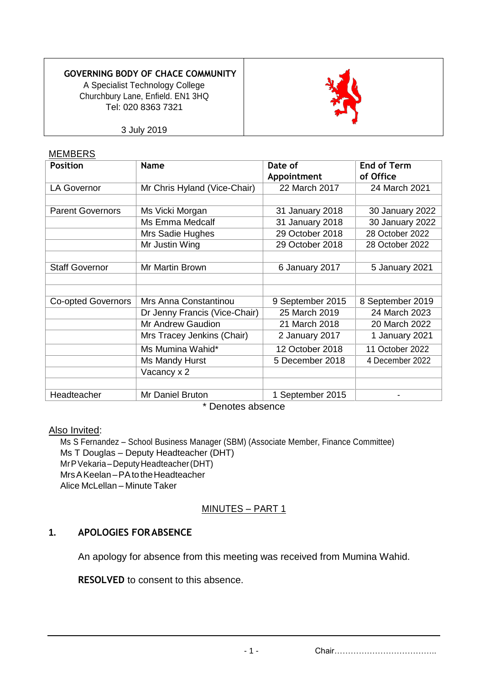#### **GOVERNING BODY OF CHACE COMMUNITY**

A Specialist Technology College Churchbury Lane, Enfield. EN1 3HQ Tel: 020 8363 7321



3 July 2019

#### MEMBERS

| <b>Position</b>           | <b>Name</b>                   | Date of          | <b>End of Term</b><br>of Office |
|---------------------------|-------------------------------|------------------|---------------------------------|
|                           |                               | Appointment      |                                 |
| <b>LA Governor</b>        | Mr Chris Hyland (Vice-Chair)  | 22 March 2017    | 24 March 2021                   |
|                           |                               |                  |                                 |
| <b>Parent Governors</b>   | Ms Vicki Morgan               | 31 January 2018  | 30 January 2022                 |
|                           | Ms Emma Medcalf               | 31 January 2018  | 30 January 2022                 |
|                           | Mrs Sadie Hughes              | 29 October 2018  | 28 October 2022                 |
|                           | Mr Justin Wing                | 29 October 2018  | 28 October 2022                 |
|                           |                               |                  |                                 |
| <b>Staff Governor</b>     | Mr Martin Brown               | 6 January 2017   | 5 January 2021                  |
|                           |                               |                  |                                 |
|                           |                               |                  |                                 |
| <b>Co-opted Governors</b> | Mrs Anna Constantinou         | 9 September 2015 | 8 September 2019                |
|                           | Dr Jenny Francis (Vice-Chair) | 25 March 2019    | 24 March 2023                   |
|                           | Mr Andrew Gaudion             | 21 March 2018    | 20 March 2022                   |
|                           | Mrs Tracey Jenkins (Chair)    | 2 January 2017   | 1 January 2021                  |
|                           | Ms Mumina Wahid*              | 12 October 2018  | 11 October 2022                 |
|                           | Ms Mandy Hurst                | 5 December 2018  | 4 December 2022                 |
|                           | Vacancy x 2                   |                  |                                 |
|                           |                               |                  |                                 |
| Headteacher               | Mr Daniel Bruton              | 1 September 2015 |                                 |

\* Denotes absence

#### Also Invited:

Ms S Fernandez – School Business Manager (SBM) (Associate Member, Finance Committee) Ms T Douglas – Deputy Headteacher (DHT) MrPVekaria–DeputyHeadteacher(DHT) MrsAKeelan–PAtotheHeadteacher Alice McLellan – Minute Taker

### MINUTES – PART 1

### **1. APOLOGIES FORABSENCE**

An apology for absence from this meeting was received from Mumina Wahid.

**RESOLVED** to consent to this absence.

- 1 - Chair………………………………..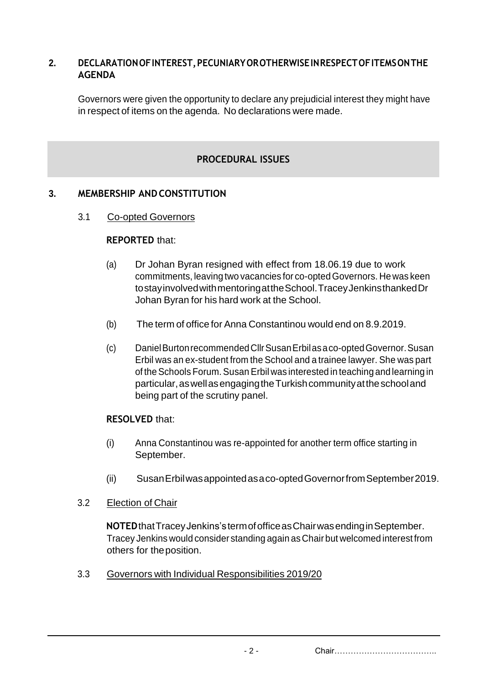### **2. DECLARATIONOFINTEREST,PECUNIARYOROTHERWISEINRESPECTOFITEMSONTHE AGENDA**

Governors were given the opportunity to declare any prejudicial interest they might have in respect of items on the agenda. No declarations were made.

# **PROCEDURAL ISSUES**

# **3. MEMBERSHIP ANDCONSTITUTION**

### 3.1 Co-opted Governors

#### **REPORTED** that:

- (a) Dr Johan Byran resigned with effect from 18.06.19 due to work commitments, leaving two vacancies for co-optedGovernors. He was keen tostayinvolvedwithmentoringattheSchool.TraceyJenkinsthankedDr Johan Byran for his hard work at the School.
- (b) The term of office for Anna Constantinou would end on 8.9.2019.
- (c) DanielBurtonrecommendedCllrSusanErbilasaco-optedGovernor.Susan Erbil was an ex-student from the School and a trainee lawyer. She was part of the Schools Forum. Susan Erbil was interested in teaching and learning in particular,aswellasengagingtheTurkishcommunityattheschooland being part of the scrutiny panel.

#### **RESOLVED** that:

- (i) Anna Constantinou was re-appointed for another term office starting in September.
- (ii) SusanErbilwasappointedasaco-optedGovernorfromSeptember2019.

#### 3.2 Election of Chair

**NOTED**thatTraceyJenkins'stermofofficeasChairwasendinginSeptember. Tracey Jenkins would consider standing again asChair but welcomed interest from others for theposition.

3.3 Governors with Individual Responsibilities 2019/20

- 2 - Chair………………………………..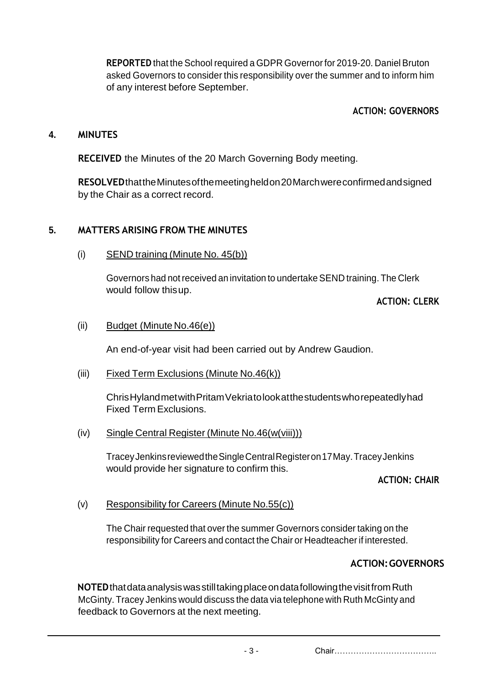**REPORTED** that the School required a GDPR Governorfor 2019-20. Daniel Bruton asked Governors to consider this responsibility over the summer and to inform him of any interest before September.

# **ACTION: GOVERNORS**

### **4. MINUTES**

**RECEIVED** the Minutes of the 20 March Governing Body meeting.

**RESOLVED**thattheMinutesofthemeetingheldon20Marchwereconfirmedandsigned by the Chair as a correct record.

# **5. MATTERS ARISING FROM THE MINUTES**

(i) SEND training (Minute No. 45(b))

Governors had notreceived an invitation to undertake SEND training. The Clerk would follow thisup.

**ACTION: CLERK**

#### (ii) Budget (Minute No.46(e))

An end-of-year visit had been carried out by Andrew Gaudion.

(iii) Fixed Term Exclusions (Minute No.46(k))

ChrisHylandmetwithPritamVekriatolookatthestudentswhorepeatedlyhad Fixed Term Exclusions.

(iv) Single Central Register (Minute No.46(w(viii)))

TraceyJenkinsreviewedtheSingleCentralRegisteron17May.TraceyJenkins would provide her signature to confirm this.

### **ACTION: CHAIR**

### (v) Responsibility for Careers (Minute No.55(c))

The Chair requested that over the summer Governors consider taking on the responsibility for Careers and contact the Chair or Headteacher if interested.

### **ACTION:GOVERNORS**

**NOTED**thatdataanalysiswasstilltakingplaceondatafollowingthevisitfromRuth McGinty. Tracey Jenkins would discuss the data via telephone with Ruth McGinty and feedback to Governors at the next meeting.

- 3 - Chair………………………………..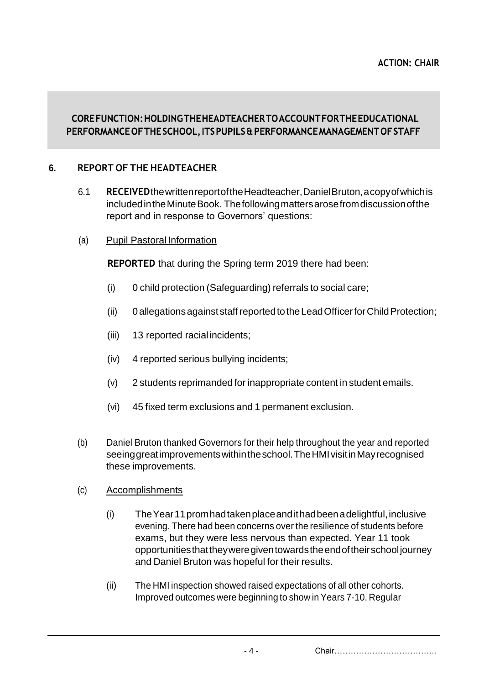# COREFUNCTION: HOLDING THE HEADTEACHER TO ACCOUNT FOR THE EDUCATIONAL PERFORMANCE OF THE SCHOOL, ITS PUPILS & PERFORMANCE MANAGEMENT OF STAFF

# **6. REPORT OF THE HEADTEACHER**

- 6.1 **RECEIVED**thewrittenreportoftheHeadteacher,DanielBruton,acopyofwhichis includedintheMinuteBook. Thefollowingmattersarosefromdiscussionofthe report and in response to Governors' questions:
- (a) Pupil Pastoral Information

**REPORTED** that during the Spring term 2019 there had been:

- (i) 0 child protection (Safeguarding) referrals to social care;
- (ii) 0allegationsagainst staffreportedtotheLeadOfficerforChildProtection;
- (iii) 13 reported racialincidents;
- (iv) 4 reported serious bullying incidents;
- (v) 2 students reprimanded for inappropriate content in student emails.
- (vi) 45 fixed term exclusions and 1 permanent exclusion.
- (b) Daniel Bruton thanked Governors for their help throughout the year and reported seeinggreatimprovementswithintheschool.TheHMIvisitinMayrecognised these improvements.
- (c) Accomplishments
	- (i) TheYear11promhadtakenplaceandithadbeenadelightful,inclusive evening. There had been concerns over the resilience of students before exams, but they were less nervous than expected. Year 11 took opportunitiesthattheyweregiventowardstheendoftheirschooljourney and Daniel Bruton was hopeful for their results.
	- (ii) The HMI inspection showed raised expectations of all other cohorts. Improved outcomes were beginning to show in Years 7-10. Regular

- 4 - Chair………………………………..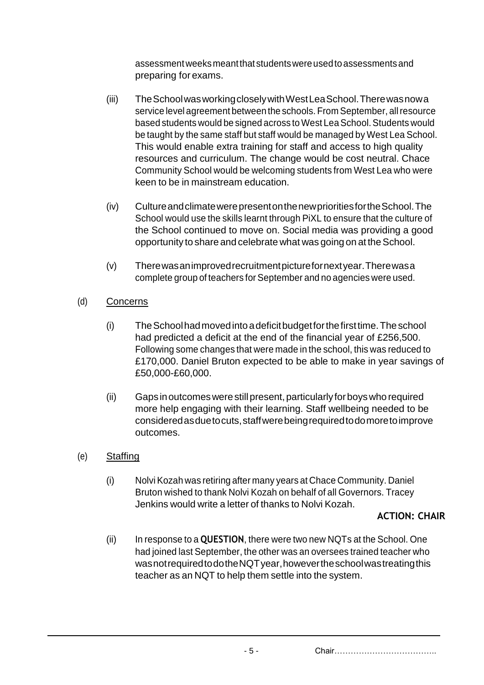assessmentweeksmeantthat studentswereusedtoassessmentsand preparing for exams.

- (iii) TheSchoolwasworkingcloselywithWestLeaSchool.Therewasnowa service level agreement between the schools. From September, allresource based students would be signed across to West Lea School. Students would be taught by the same staff but staff would be managed by West Lea School. This would enable extra training for staff and access to high quality resources and curriculum. The change would be cost neutral. Chace Community School would be welcoming students from West Lea who were keen to be in mainstream education.
- (iv) CultureandclimatewerepresentonthenewprioritiesfortheSchool.The School would use the skills learnt through PiXL to ensure that the culture of the School continued to move on. Social media was providing a good opportunity to share and celebrate what was going on at the School.
- (v) Therewasanimprovedrecruitmentpicturefornextyear.Therewasa complete group of teachers for September and no agencies were used.
- (d) Concerns
	- (i) TheSchoolhadmovedintoadeficitbudgetforthefirsttime.Theschool had predicted a deficit at the end of the financial year of £256,500. Following some changes that were made in the school, this was reduced to £170,000. Daniel Bruton expected to be able to make in year savings of £50,000-£60,000.
	- (ii) Gaps in outcomes were still present, particularly for boys who required more help engaging with their learning. Staff wellbeing needed to be consideredasduetocuts,staffwerebeingrequiredtodomoretoimprove outcomes.
- (e) Staffing
	- (i) Nolvi Kozah was retiring after many years at Chace Community. Daniel Bruton wished to thank Nolvi Kozah on behalf of all Governors. Tracey Jenkins would write a letter of thanks to Nolvi Kozah.

### **ACTION: CHAIR**

(ii) In response to a **QUESTION**, there were two new NQTs at the School. One had joined last September, the other was an oversees trained teacher who wasnotrequiredtodotheNQTyear,howevertheschoolwastreatingthis teacher as an NQT to help them settle into the system.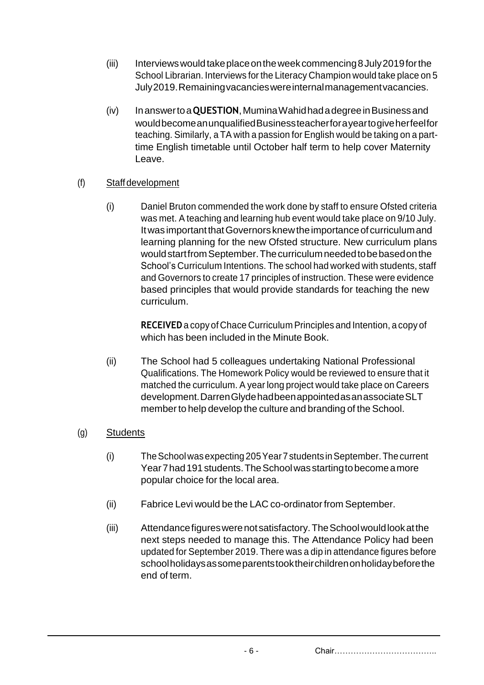- (iii) Interviewswouldtakeplaceontheweekcommencing8July2019forthe School Librarian. Interviews for the Literacy Champion would take place on 5 July2019.Remainingvacancieswereinternalmanagementvacancies.
- (iv) Inanswertoa**QUESTION**,MuminaWahidhadadegreeinBusinessand wouldbecomeanunqualifiedBusinessteacherforayeartogiveherfeelfor teaching. Similarly, a TA with a passion for English would be taking on a parttime English timetable until October half term to help cover Maternity Leave.

# (f) Staffdevelopment

(i) Daniel Bruton commended the work done by staff to ensure Ofsted criteria was met. A teaching and learning hub event would take place on 9/10 July. It was important that Governors knew the importance of curriculum and learning planning for the new Ofsted structure. New curriculum plans would start from September. The curriculum needed to be based on the School's Curriculum Intentions. The school had worked with students, staff and Governors to create 17 principles of instruction. These were evidence based principles that would provide standards for teaching the new curriculum.

> **RECEIVED**a copy of Chace Curriculum Principles and Intention, a copy of which has been included in the Minute Book.

(ii) The School had 5 colleagues undertaking National Professional Qualifications. The Homework Policy would be reviewed to ensure that it matched the curriculum. A year long project would take place on Careers development.DarrenGlydehadbeenappointedasanassociateSLT member to help develop the culture and branding of the School.

# (g) Students

- (i) TheSchoolwasexpecting 205Year7 students inSeptember.The current Year 7 had 191 students. The School was starting to become a more popular choice for the local area.
- (ii) Fabrice Levi would be the LAC co-ordinatorfrom September.
- (iii) Attendancefigureswerenotsatisfactory.TheSchoolwouldlookatthe next steps needed to manage this. The Attendance Policy had been updated for September 2019. There was a dip in attendance figures before schoolholidaysassomeparentstooktheirchildrenonholidaybeforethe end of term.

- 6 - Chair………………………………..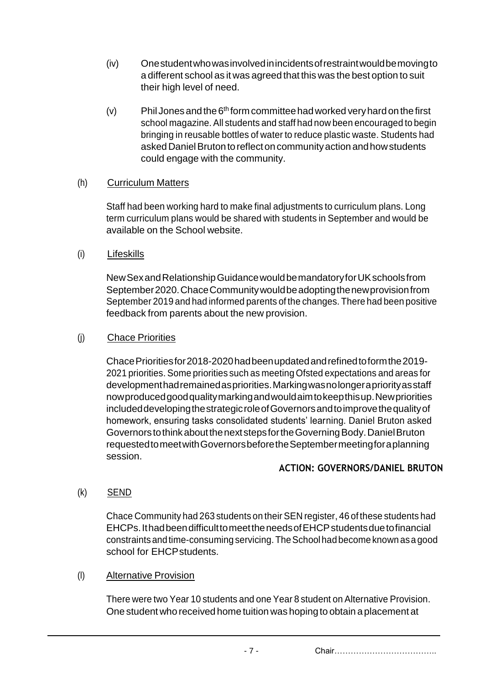- (iv) Onestudentwhowasinvolvedinincidentsofrestraintwouldbemovingto a different school as it was agreed that this was the best option to suit their high level of need.
- $(v)$  Phil Jones and the 6<sup>th</sup> form committee had worked very hard on the first school magazine. All students and staff had now been encouraged to begin bringing in reusable bottles of water to reduce plastic waste. Students had asked Daniel Bruton to reflect on community action and how students could engage with the community.

# (h) Curriculum Matters

Staff had been working hard to make final adjustments to curriculum plans. Long term curriculum plans would be shared with students in September and would be available on the School website.

(i) Lifeskills

NewSexandRelationshipGuidancewouldbemandatoryforUKschoolsfrom September2020.ChaceCommunitywouldbeadoptingthenewprovisionfrom September 2019 and had informed parents of the changes. There had been positive feedback from parents about the new provision.

# (j) Chace Priorities

ChacePrioritiesfor2018-2020hadbeenupdatedandrefinedtoformthe2019- 2021 priorities. Some priorities such as meeting Ofsted expectations and areas for developmenthadremainedaspriorities.Markingwasnolongerapriorityasstaff nowproducedgoodqualitymarkingandwouldaimtokeepthisup.Newpriorities includeddevelopingthestrategicroleofGovernorsandtoimprovethequalityof homework, ensuring tasks consolidated students' learning. Daniel Bruton asked GovernorstothinkaboutthenextstepsfortheGoverningBody.DanielBruton requestedtomeetwithGovernorsbeforetheSeptembermeetingforaplanning session.

# **ACTION: GOVERNORS/DANIEL BRUTON**

(k) SEND

Chace Community had 263 students on their SEN register, 46 of these students had EHCPs.IthadbeendifficulttomeettheneedsofEHCPstudentsduetofinancial constraintsandtime-consumingservicing.TheSchoolhadbecome known asa good school for EHCPstudents.

### (l) Alternative Provision

There were two Year 10 students and one Year 8 student on Alternative Provision. One student who received home tuition was hoping to obtain a placement at

- 7 - Chair………………………………..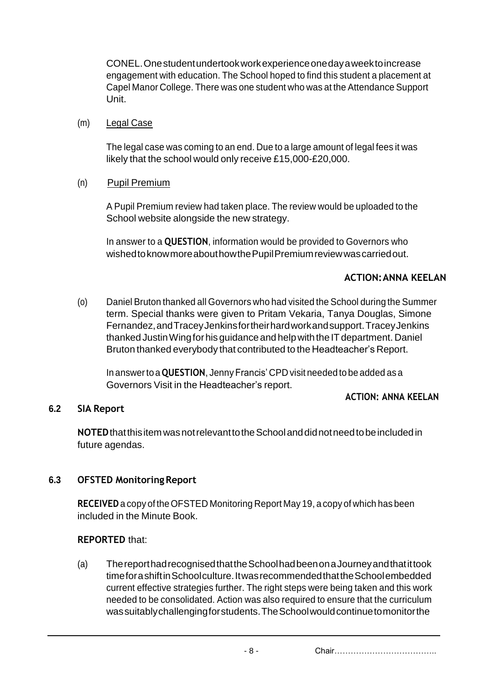CONEL.Onestudentundertookworkexperienceonedayaweektoincrease engagement with education. The School hoped to find this student a placement at Capel Manor College. There was one student who was at the Attendance Support Unit.

#### (m) Legal Case

The legal case was coming to an end. Due to a large amount of legal fees it was likely that the school would only receive £15,000-£20,000.

#### (n) Pupil Premium

A Pupil Premium review had taken place. The review would be uploaded to the School website alongside the new strategy.

In answer to a **QUESTION**, information would be provided to Governors who wishedtoknowmoreabouthowthePupilPremiumreviewwascarriedout.

#### **ACTION:ANNA KEELAN**

(o) Daniel Bruton thanked all Governors who had visited the School during the Summer term. Special thanks were given to Pritam Vekaria, Tanya Douglas, Simone Fernandez,andTraceyJenkinsfortheirhardworkandsupport.TraceyJenkins thanked Justin Wing for his guidance and help with the IT department. Daniel Bruton thanked everybody that contributed to the Headteacher's Report.

In answerto a **QUESTION**, Jenny Francis' CPD visit needed to be added as a Governors Visit in the Headteacher's report.

#### **ACTION: ANNA KEELAN**

### **6.2 SIA Report**

**NOTED**thatthisitemwasnotrelevanttotheSchoolanddidnotneedtobeincludedin future agendas.

### **6.3 OFSTED MonitoringReport**

**RECEIVED**a copy of theOFSTED Monitoring Report May 19, a copy of which has been included in the Minute Book.

### **REPORTED** that:

(a) ThereporthadrecognisedthattheSchoolhadbeenonaJourneyandthatittook time for a shift in School culture. It was recommended that the School embedded current effective strategies further. The right steps were being taken and this work needed to be consolidated. Action was also required to ensure that the curriculum wassuitablychallengingforstudents.TheSchoolwouldcontinuetomonitorthe

- 8 - Chair………………………………..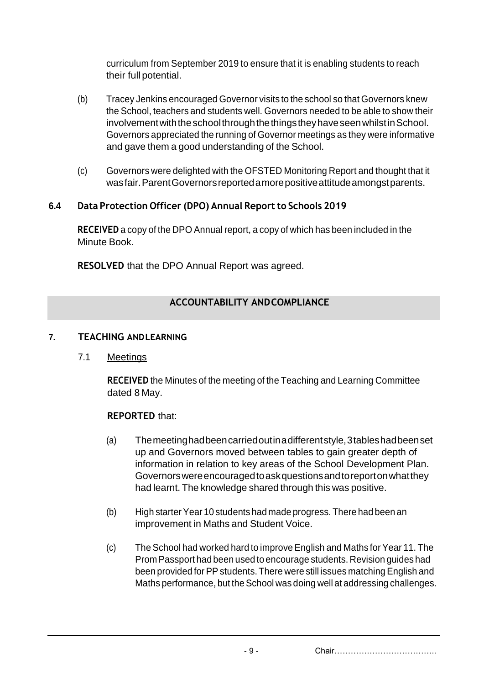curriculum from September 2019 to ensure that it is enabling students to reach their full potential.

- (b) Tracey Jenkins encouraged Governor visits to the school so that Governors knew the School, teachers and students well. Governors needed to be able to show their involvement with the school through the things they have seen whilst in School. Governors appreciated the running of Governor meetings as they were informative and gave them a good understanding of the School.
- (c) Governors were delighted with the OFSTED Monitoring Report and thought that it wasfair.ParentGovernorsreportedamorepositiveattitudeamongstparents.

# **6.4 Data Protection Officer (DPO) Annual Reportto Schools 2019**

**RECEIVED** a copy of the DPO Annual report, a copy of which has been included in the Minute Book.

**RESOLVED** that the DPO Annual Report was agreed.

# **ACCOUNTABILITY ANDCOMPLIANCE**

### **7. TEACHING ANDLEARNING**

### 7.1 Meetings

**RECEIVED** the Minutes of the meeting of the Teaching and Learning Committee dated 8 May.

### **REPORTED** that:

- (a) Themeetinghadbeencarriedoutinadifferentstyle,3tableshadbeenset up and Governors moved between tables to gain greater depth of information in relation to key areas of the School Development Plan. Governorswereencouragedtoaskquestionsandtoreportonwhatthey had learnt. The knowledge shared through this was positive.
- (b) High starterYear 10 students had made progress. There had been an improvement in Maths and Student Voice.
- (c) The School had worked hard to improve English and Maths for Year 11. The Prom Passport had been used to encourage students. Revision guides had been provided for PP students. There were still issues matching English and Maths performance, but the School was doing well at addressing challenges.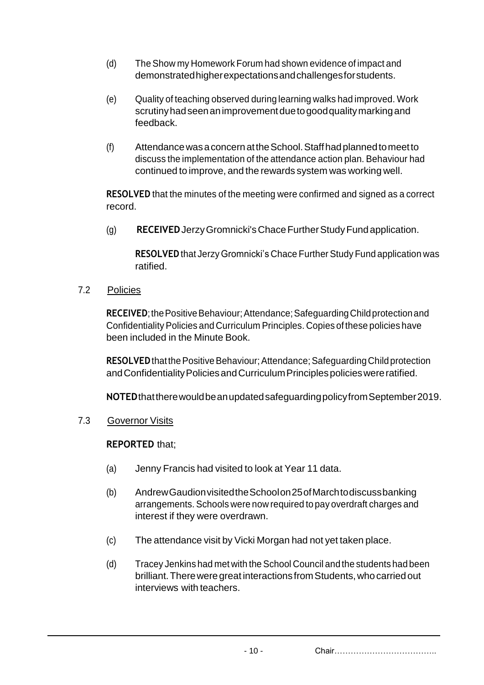- (d) The Show my Homework Forum had shown evidence of impact and demonstratedhigherexpectationsandchallengesforstudents.
- (e) Quality of teaching observed during learning walks had improved. Work scrutinyhadseenanimprovementduetogoodqualitymarkingand feedback.
- (f) AttendancewasaconcernattheSchool.Staffhadplannedtomeetto discuss the implementation of the attendance action plan. Behaviour had continued to improve, and the rewards system was working well.

**RESOLVED** that the minutes of the meeting were confirmed and signed as a correct record.

(g) **RECEIVED**JerzyGromnicki'sChaceFurtherStudyFundapplication.

**RESOLVED** that Jerzy Gromnicki's Chace Further Study Fund application was ratified.

7.2 Policies

**RECEIVED**; the Positive Behaviour; Attendance; Safeguarding Child protection and Confidentiality Policies and Curriculum Principles. Copies of these policies have been included in the Minute Book.

**RESOLVED** that the Positive Behaviour; Attendance; Safeguarding Child protection and Confidentiality Policies and Curriculum Principles policies were ratified.

**NOTED**thattherewouldbeanupdatedsafeguardingpolicyfromSeptember2019.

7.3 Governor Visits

# **REPORTED** that;

- (a) Jenny Francis had visited to look at Year 11 data.
- (b) AndrewGaudionvisitedtheSchoolon25ofMarchtodiscussbanking arrangements. Schools were now required to pay overdraft charges and interest if they were overdrawn.
- (c) The attendance visit by Vicki Morgan had not yet taken place.
- (d) Tracey Jenkins had met with theSchool Council and the students had been brilliant. There were great interactions from Students, who carried out interviews with teachers.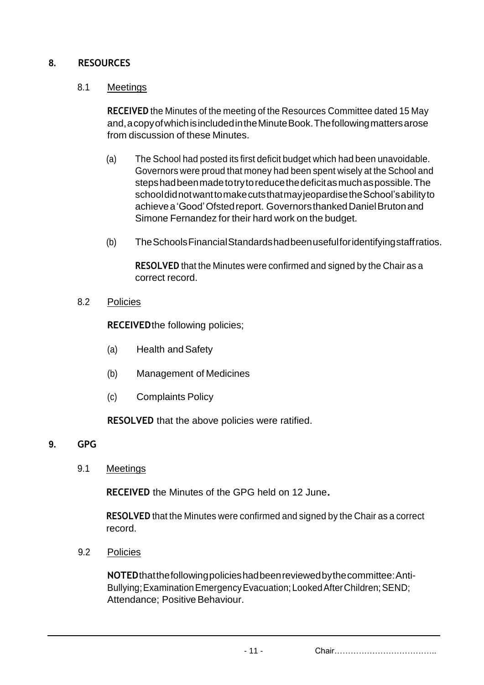# **8. RESOURCES**

#### 8.1 Meetings

**RECEIVED** the Minutes of the meeting of the Resources Committee dated 15 May and,acopyofwhichisincludedintheMinuteBook.Thefollowingmattersarose from discussion of these Minutes.

- (a) The School had posted its first deficit budget which had been unavoidable. Governors were proud that money had been spent wisely at the School and stepshadbeenmadetotrytoreducethedeficitasmuchaspossible.The schooldidnotwanttomakecutsthatmayjeopardisetheSchool'sabilityto achievea'Good'Ofstedreport. GovernorsthankedDanielBrutonand Simone Fernandez for their hard work on the budget.
- (b) TheSchoolsFinancialStandardshadbeenusefulforidentifyingstaffratios.

**RESOLVED** that the Minutes were confirmed and signed by the Chair as a correct record.

8.2 Policies

**RECEIVED**the following policies;

- (a) Health andSafety
- (b) Management of Medicines
- (c) Complaints Policy

**RESOLVED** that the above policies were ratified.

- **9. GPG**
	- 9.1 Meetings

**RECEIVED** the Minutes of the GPG held on 12 June**.**

**RESOLVED** that the Minutes were confirmed and signed by the Chair as a correct record.

9.2 Policies

**NOTED**thatthefollowingpolicieshadbeenreviewedbythecommittee:Anti-Bullying; Examination Emergency Evacuation; Looked After Children; SEND; Attendance; Positive Behaviour.

- 11 - Chair………………………………..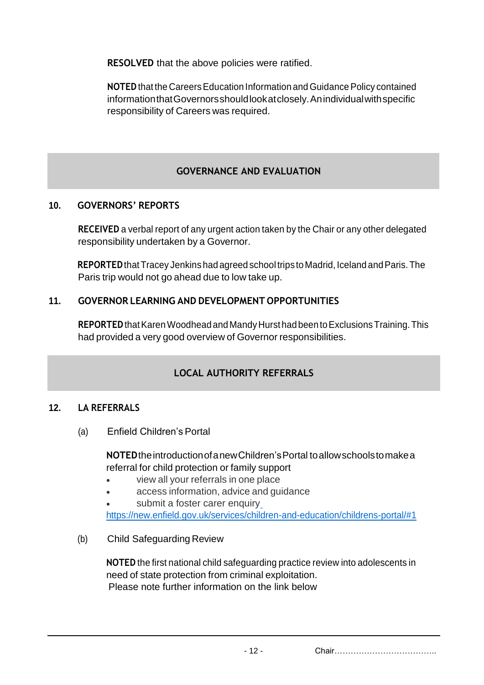**RESOLVED** that the above policies were ratified.

**NOTED** that the Careers Education Information and Guidance Policy contained informationthatGovernorsshouldlookatclosely.Anindividualwithspecific responsibility of Careers was required.

# **GOVERNANCE AND EVALUATION**

# **10. GOVERNORS' REPORTS**

**RECEIVED** a verbal report of any urgent action taken by the Chair or any other delegated responsibility undertaken by a Governor.

REPORTED that Tracey Jenkins had agreed school trips to Madrid, Iceland and Paris. The Paris trip would not go ahead due to low take up.

# **11. GOVERNOR LEARNING AND DEVELOPMENT OPPORTUNITIES**

**REPORTED** that Karen Woodhead and Mandy Hurst had been to Exclusions Training. This had provided a very good overview of Governor responsibilities.

# **LOCAL AUTHORITY REFERRALS**

### **12. LA REFERRALS**

(a) Enfield Children'sPortal

**NOTED**theintroductionofanewChildren'sPortal toallowschoolstomakea referral for child protection or family support

- view all your referrals in one place
- access information, advice and guidance

submit a foster carer enquir[y](https://new.enfield.gov.uk/services/children-and-education/childrens-portal/#1)

<https://new.enfield.gov.uk/services/children-and-education/childrens-portal/#1>

(b) Child Safeguarding Review

**NOTED** the first national child safeguarding practice review into adolescents in need of state protection from criminal exploitation. Please note further information on the link below

- 12 - Chair………………………………..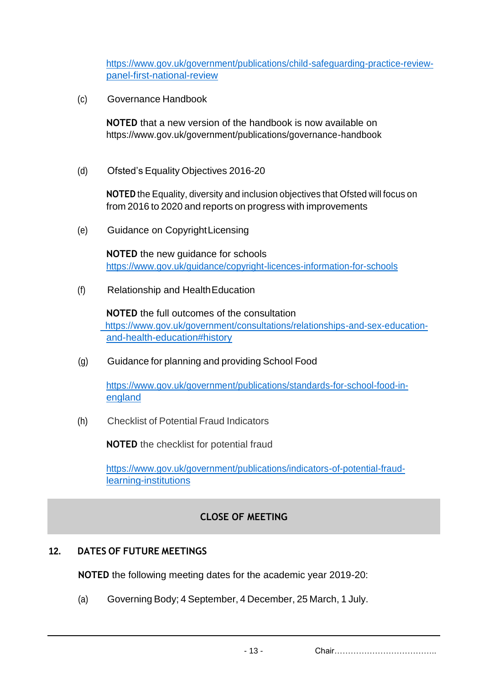[https://www.gov.uk/government/publications/child-safeguarding-practice-review](https://www.gov.uk/government/publications/child-safeguarding-practice-review-panel-first-national-review)[panel-first-national-review](https://www.gov.uk/government/publications/child-safeguarding-practice-review-panel-first-national-review)

(c) Governance Handbook

**NOTED** that a new version of the handbook is now available on https:/[/www.gov.uk/government/publications/governance-handbook](http://www.gov.uk/government/publications/governance-handbook)

(d) Ofsted's Equality Objectives 2016-20

**NOTED** the Equality, diversity and inclusion objectives that Ofsted will focus on from 2016 to 2020 and reports on progress with improvements

(e) Guidance on CopyrightLicensing

**NOTED** the new guidance for schools <https://www.gov.uk/guidance/copyright-licences-information-for-schools>

(f) Relationship and HealthEducation

**NOTED** the full outcomes of the consultation https:/[/www.gov.uk/government/consultations/relationships-and-sex-education](http://www.gov.uk/government/consultations/relationships-and-sex-education-)and-health-education#history

(g) Guidance for planning and providing School Food

[https://www.gov.uk/government/publications/standards-for-school-food-in](https://www.gov.uk/government/publications/standards-for-school-food-in-england?utm_source=3bb46bdd-ac95-4a32-b780-243a3bae9df4&utm_medium=email&utm_campaign=govuk-notifications&utm_content=immediate)[england](https://www.gov.uk/government/publications/standards-for-school-food-in-england?utm_source=3bb46bdd-ac95-4a32-b780-243a3bae9df4&utm_medium=email&utm_campaign=govuk-notifications&utm_content=immediate)

(h) Checklist of Potential Fraud Indicators

**NOTED** the checklist for potential fraud

[https://www.gov.uk/government/publications/indicators-of-potential-fraud](https://www.gov.uk/government/publications/indicators-of-potential-fraud-learning-institutions)[learning-institutions](https://www.gov.uk/government/publications/indicators-of-potential-fraud-learning-institutions)

# **CLOSE OF MEETING**

### **12. DATES OF FUTURE MEETINGS**

**NOTED** the following meeting dates for the academic year 2019-20:

(a) Governing Body; 4 September, 4 December, 25 March, 1 July.